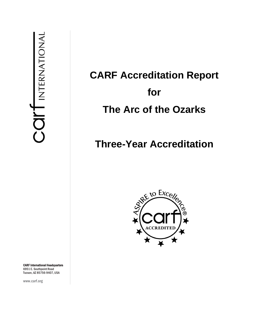# **CARF Accreditation Report for The Arc of the Ozarks**

## **Three-Year Accreditation**



CARF International Headquarters 6951 E. Southpoint Road Tucson, AZ 85756-9407, USA

www.carf.org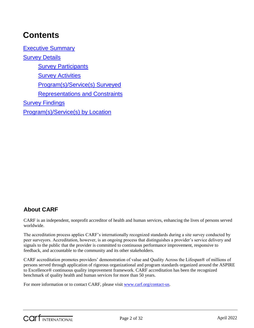## **Contents**

[Executive Summary](#page-3-0) [Survey Details](#page-4-0) [Survey Participants](#page-4-1) **[Survey Activities](#page-4-2)** [Program\(s\)/Service\(s\) Surveyed](#page-5-0) [Representations and Constraints](#page-5-1) **[Survey Findings](#page-5-2)** [Program\(s\)/Service\(s\) by Location](#page-29-0)

### **About CARF**

CARF is an independent, nonprofit accreditor of health and human services, enhancing the lives of persons served worldwide.

The accreditation process applies CARF's internationally recognized standards during a site survey conducted by peer surveyors. Accreditation, however, is an ongoing process that distinguishes a provider's service delivery and signals to the public that the provider is committed to continuous performance improvement, responsive to feedback, and accountable to the community and its other stakeholders.

CARF accreditation promotes providers' demonstration of value and Quality Across the Lifespan® of millions of persons served through application of rigorous organizational and program standards organized around the ASPIRE to Excellence® continuous quality improvement framework. CARF accreditation has been the recognized benchmark of quality health and human services for more than 50 years.

For more information or to contact CARF, please visit [www.carf.org/contact-us.](http://www.carf.org/contact-us)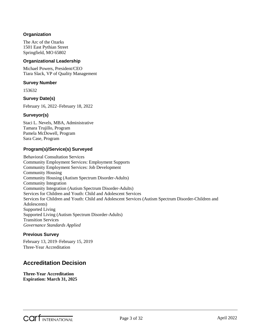#### **Organization**

The Arc of the Ozarks 1501 East Pythian Street Springfield, MO 65802

#### **Organizational Leadership**

Michael Powers, President/CEO Tiara Slack, VP of Quality Management

#### **Survey Number**

153632

#### **Survey Date(s)**

February 16, 2022–February 18, 2022

#### **Surveyor(s)**

Staci L. Nevels, MBA, Administrative Tamara Trujillo, Program Pamela McDowell, Program Sara Case, Program

#### **Program(s)/Service(s) Surveyed**

Behavioral Consultation Services Community Employment Services: Employment Supports Community Employment Services: Job Development Community Housing Community Housing (Autism Spectrum Disorder-Adults) Community Integration Community Integration (Autism Spectrum Disorder-Adults) Services for Children and Youth: Child and Adolescent Services Services for Children and Youth: Child and Adolescent Services (Autism Spectrum Disorder-Children and Adolescents) Supported Living Supported Living (Autism Spectrum Disorder-Adults) Transition Services *Governance Standards Applied*

#### **Previous Survey**

February 13, 2019–February 15, 2019 Three-Year Accreditation

### **Accreditation Decision**

**Three-Year Accreditation Expiration: March 31, 2025**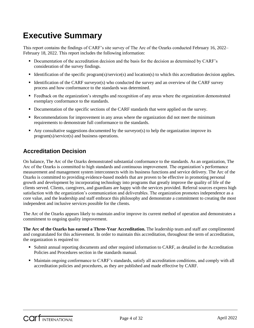## <span id="page-3-0"></span>**Executive Summary**

This report contains the findings of CARF's site survey of The Arc of the Ozarks conducted February 16, 2022– February 18, 2022. This report includes the following information:

- Documentation of the accreditation decision and the basis for the decision as determined by CARF's consideration of the survey findings.
- Identification of the specific program(s)/service(s) and location(s) to which this accreditation decision applies.
- Identification of the CARF surveyor(s) who conducted the survey and an overview of the CARF survey process and how conformance to the standards was determined.
- **Feedback on the organization's strengths and recognition of any areas where the organization demonstrated** exemplary conformance to the standards.
- Documentation of the specific sections of the CARF standards that were applied on the survey.
- Recommendations for improvement in any areas where the organization did not meet the minimum requirements to demonstrate full conformance to the standards.
- Any consultative suggestions documented by the surveyor(s) to help the organization improve its program(s)/service(s) and business operations.

### **Accreditation Decision**

On balance, The Arc of the Ozarks demonstrated substantial conformance to the standards. As an organization, The Arc of the Ozarks is committed to high standards and continuous improvement. The organization's performance measurement and management system interconnects with its business functions and service delivery. The Arc of the Ozarks is committed to providing evidence-based models that are proven to be effective in promoting personal growth and development by incorporating technology into programs that greatly improve the quality of life of the clients served. Clients, caregivers, and guardians are happy with the services provided. Referral sources express high satisfaction with the organization's communication and deliverables. The organization promotes independence as a core value, and the leadership and staff embrace this philosophy and demonstrate a commitment to creating the most independent and inclusive services possible for the clients.

The Arc of the Ozarks appears likely to maintain and/or improve its current method of operation and demonstrates a commitment to ongoing quality improvement.

**The Arc of the Ozarks has earned a Three-Year Accreditation.** The leadership team and staff are complimented and congratulated for this achievement. In order to maintain this accreditation, throughout the term of accreditation, the organization is required to:

- Submit annual reporting documents and other required information to CARF, as detailed in the Accreditation Policies and Procedures section in the standards manual.
- Maintain ongoing conformance to CARF's standards, satisfy all accreditation conditions, and comply with all accreditation policies and procedures, as they are published and made effective by CARF.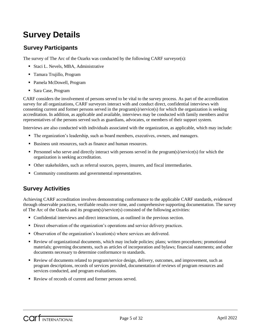## <span id="page-4-0"></span>**Survey Details**

### <span id="page-4-1"></span>**Survey Participants**

The survey of The Arc of the Ozarks was conducted by the following CARF surveyor(s):

- Staci L. Nevels, MBA, Administrative
- Tamara Trujillo, Program
- Pamela McDowell, Program
- Sara Case, Program

CARF considers the involvement of persons served to be vital to the survey process. As part of the accreditation survey for all organizations, CARF surveyors interact with and conduct direct, confidential interviews with consenting current and former persons served in the program(s)/service(s) for which the organization is seeking accreditation. In addition, as applicable and available, interviews may be conducted with family members and/or representatives of the persons served such as guardians, advocates, or members of their support system.

Interviews are also conducted with individuals associated with the organization, as applicable, which may include:

- The organization's leadership, such as board members, executives, owners, and managers.
- Business unit resources, such as finance and human resources.
- **Personnel who serve and directly interact with persons served in the program(s)/service(s) for which the** organization is seeking accreditation.
- Other stakeholders, such as referral sources, payers, insurers, and fiscal intermediaries.
- Community constituents and governmental representatives.

### <span id="page-4-2"></span>**Survey Activities**

Achieving CARF accreditation involves demonstrating conformance to the applicable CARF standards, evidenced through observable practices, verifiable results over time, and comprehensive supporting documentation. The survey of The Arc of the Ozarks and its program(s)/service(s) consisted of the following activities:

- Confidential interviews and direct interactions, as outlined in the previous section.
- Direct observation of the organization's operations and service delivery practices.
- Observation of the organization's location(s) where services are delivered.
- Review of organizational documents, which may include policies; plans; written procedures; promotional materials; governing documents, such as articles of incorporation and bylaws; financial statements; and other documents necessary to determine conformance to standards.
- Review of documents related to program/service design, delivery, outcomes, and improvement, such as program descriptions, records of services provided, documentation of reviews of program resources and services conducted, and program evaluations.
- Review of records of current and former persons served.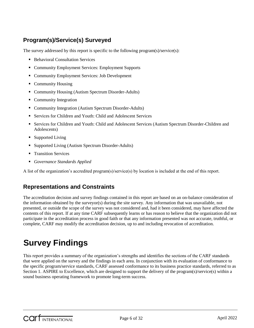### <span id="page-5-0"></span>**Program(s)/Service(s) Surveyed**

The survey addressed by this report is specific to the following program $(s)/\text{service}(s)$ :

- **Behavioral Consultation Services**
- Community Employment Services: Employment Supports
- Community Employment Services: Job Development
- Community Housing
- Community Housing (Autism Spectrum Disorder-Adults)
- Community Integration
- Community Integration (Autism Spectrum Disorder-Adults)
- Services for Children and Youth: Child and Adolescent Services
- Services for Children and Youth: Child and Adolescent Services (Autism Spectrum Disorder-Children and Adolescents)
- Supported Living
- **Supported Living (Autism Spectrum Disorder-Adults)**
- **Transition Services**
- *Governance Standards Applied*

A list of the organization's accredited program(s)/service(s) by location is included at the end of this report.

### <span id="page-5-1"></span>**Representations and Constraints**

The accreditation decision and survey findings contained in this report are based on an on-balance consideration of the information obtained by the surveyor(s) during the site survey. Any information that was unavailable, not presented, or outside the scope of the survey was not considered and, had it been considered, may have affected the contents of this report. If at any time CARF subsequently learns or has reason to believe that the organization did not participate in the accreditation process in good faith or that any information presented was not accurate, truthful, or complete, CARF may modify the accreditation decision, up to and including revocation of accreditation.

## <span id="page-5-2"></span>**Survey Findings**

This report provides a summary of the organization's strengths and identifies the sections of the CARF standards that were applied on the survey and the findings in each area. In conjunction with its evaluation of conformance to the specific program/service standards, CARF assessed conformance to its business practice standards, referred to as Section 1. ASPIRE to Excellence, which are designed to support the delivery of the program(s)/service(s) within a sound business operating framework to promote long-term success.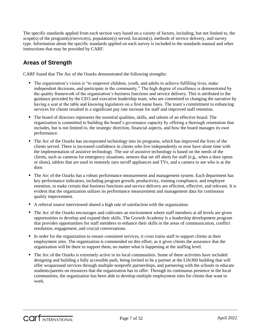The specific standards applied from each section vary based on a variety of factors, including, but not limited to, the scope(s) of the program(s)/service(s), population(s) served, location(s), methods of service delivery, and survey type. Information about the specific standards applied on each survey is included in the standards manual and other instructions that may be provided by CARF.

### **Areas of Strength**

CARF found that The Arc of the Ozarks demonstrated the following strengths:

- The organization's vision is "to empower children, youth, and adults to achieve fulfilling lives, make independent decisions, and participate in the community." The high degree of excellence is demonstrated by the quality framework of the organization's business functions and service delivery. This is attributed to the guidance provided by the CEO and executive leadership team, who are committed to changing the narrative by having a seat at the table and knowing legislators on a first name basis. The team's commitment to enhancing services for clients resulted in a significant pay rate increase for staff and improved staff retention.
- The board of directors represents the essential qualities, skills, and talents of an effective board. The organization is committed to building the board's governance capacity by offering a thorough orientation that includes, but is not limited to, the strategic direction, financial aspects, and how the board manages its own performance.
- The Arc of the Ozarks has incorporated technology into its programs, which has improved the lives of the clients served. There is increased confidence in clients who live independently or now have alone time with the implementation of assistive technology. The use of assistive technology is based on the needs of the clients, such as cameras for emergency situations, sensors that set off alerts for staff (e.g., when a door opens or shuts), tablets that are used to remotely turn on/off appliances and TVs, and a camera to see who is at the door.
- The Arc of the Ozarks has a robust performance measurement and management system. Each department has key performance indicators, including program growth, productivity, training compliance, and employee retention, to make certain that business functions and service delivery are efficient, effective, and relevant. It is evident that the organization utilizes its performance measurement and management data for continuous quality improvement.
- A referral source interviewed shared a high rate of satisfaction with the organization.
- The Arc of the Ozarks encourages and cultivates an environment where staff members at all levels are given opportunities to develop and expand their skills. The Growth Academy is a leadership development program that provides opportunities for staff members to enhance their skills in the areas of communication, conflict resolution, engagement, and crucial conversations.
- In order for the organization to ensure consistent services, it cross trains staff to support clients at their employment sites. The organization is commended on this effort, as it gives clients the assurance that the organization will be there to support them, no matter what is happening at the staffing level.
- The Arc of the Ozarks is extremely active in its local communities. Some of these activities have included designing and building a fully accessible park, being invited to be a partner at the Life360 building that will offer wraparound services through multiple nonprofit partnerships, and partnering with the schools to educate students/parents on resources that the organization has to offer. Through its continuous presence in the local communities, the organization has been able to develop multiple employment sites for clients that want to work.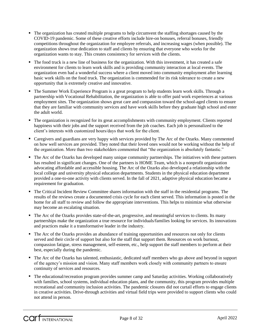- The organization has created multiple programs to help circumvent the staffing shortages caused by the COVID-19 pandemic. Some of these creative efforts include hire-on bonuses, referral bonuses, friendly competitions throughout the organization for employee referrals, and increasing wages (when possible). The organization shows true dedication to staff and clients by ensuring that everyone who works for the organization wants to stay. This creates consistency for services with the clients.
- The food truck is a new line of business for the organization. With this investment, it has created a safe environment for clients to learn work skills and is providing community interaction at local events. The organization even had a wonderful success where a client moved into community employment after learning basic work skills on the food truck. The organization is commended for its risk tolerance to create a new opportunity that is extremely creative and innovative.
- The Summer Work Experience Program is a great program to help students learn work skills. Through a partnership with Vocational Rehabilitation, the organization is able to offer paid work experiences at various employment sites. The organization shows great care and compassion toward the school-aged clients to ensure that they are familiar with community services and have work skills before they graduate high school and enter the adult world.
- The organization is recognized for its great accomplishments with community employment. Clients reported happiness with their jobs and the support received from the job coaches. Each job is personalized to the client's interests with customized hours/days that work for the client.
- Caregivers and guardians are very happy with services provided by The Arc of the Ozarks. Many commented on how well services are provided. They noted that their loved ones would not be working without the help of the organization. More than two stakeholders commented that "the organization is absolutely fantastic."
- The Arc of the Ozarks has developed many unique community partnerships. The initiatives with these partners has resulted in significant changes. One of the partners is HOME Team, which is a nonprofit organization advocating affordable and accessible housing. The Arc of the Ozarks also developed a relationship with the local college and university physical education departments. Students in the physical education department provided a one-to-one activity with clients served. In the fall of 2021, adaptive physical education became a requirement for graduation.
- The Critical Incident Review Committee shares information with the staff in the residential programs. The results of the reviews create a documented crisis cycle for each client served. This information is posted in the home for all staff to review and follow the appropriate interventions. This helps to minimize what otherwise may become an escalating situation.
- The Arc of the Ozarks provides state-of-the-art, progressive, and meaningful services to clients. Its many partnerships make the organization a true resource for individuals/families looking for services. Its innovations and practices make it a transformative leader in the industry.
- The Arc of the Ozarks provides an abundance of training opportunities and resources not only for clients served and their circle of support but also for the staff that support them. Resources on work burnout, compassion fatigue, stress management, self-esteem, etc., help support the staff members to perform at their best, especially during the pandemic.
- The Arc of the Ozarks has talented, enthusiastic, dedicated staff members who go above and beyond in support of the agency's mission and vision. Many staff members work closely with community partners to ensure continuity of services and resources.
- The educational/recreation program provides summer camp and Saturday activities. Working collaboratively with families, school systems, individual education plans, and the community, this program provides multiple recreational and community inclusion activities. The pandemic closures did not curtail efforts to engage clients in creative activities. Drive-through activities and virtual field trips were provided to support clients who could not attend in person.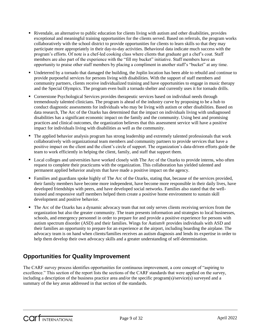- Rivendale, an alternative to public education for clients living with autism and other disabilities, provides exceptional and meaningful training opportunities for the clients served. Based on referrals, the program works collaboratively with the school district to provide opportunities for clients to learn skills so that they may participate more appropriately in their day-to-day activities. Behavioral data indicate much success with the program's efforts. Of note is a chef-led cooking class where clients that graduate get a chef's coat. Staff members are also part of the experience with the "fill my bucket" initiative. Staff members have an opportunity to praise other staff members by placing a compliment in another staff's "bucket" at any time.
- Undeterred by a tornado that damaged the building, the Joplin location has been able to rebuild and continue to provide purposeful services for persons living with disabilities. With the support of staff members and community partners, clients receive individualized training and have opportunities to engage in music therapy and the Special Olympics. The program even built a tornado shelter and currently uses it for tornado drills.
- **Cornerstone Psychological Services provides therapeutic services based on individual needs through** tremendously talented clinicians. The program is ahead of the industry curve by proposing to be a hub to conduct diagnostic assessments for individuals who may be living with autism or other disabilities. Based on data research, The Arc of the Ozarks has determined that the impact on individuals living with undiagnosed disabilities has a significant economic impact on the family and the community. Using best and promising practices and clinical outcomes, the organization believes that this assessment service will have a positive impact for individuals living with disabilities as well as the community.
- The applied behavior analysis program has strong leadership and extremely talented professionals that work collaboratively with organizational team members and community partners to provide services that have a positive impact on the client and the client's circle of support. The organization's data-driven efforts guide the team to work efficiently in helping the client, family, and staff that support them.
- Local colleges and universities have worked closely with The Arc of the Ozarks to provide interns, who often request to complete their practicums with the organization. This collaboration has yielded talented and permanent applied behavior analysts that have made a positive impact on the agency.
- Families and guardians spoke highly of The Arc of the Ozarks, stating that, because of the services provided, their family members have become more independent, have become more responsible in their daily lives, have developed friendships with peers, and have developed social networks. Families also stated that the welltrained and responsive staff members helped them create a positive home environment to sustain skill development and positive behavior.
- The Arc of the Ozarks has a dynamic advocacy team that not only serves clients receiving services from the organization but also the greater community. The team presents information and strategies to local businesses, schools, and emergency personnel in order to prepare for and provide a positive experience for persons with autism spectrum disorder (ASD) and their families. Wings for Autism® provides individuals with ASD and their families an opportunity to prepare for an experience at the airport, including boarding the airplane. The advocacy team is on hand when clients/families receives an autism diagnosis and lends its expertise in order to help them develop their own advocacy skills and a greater understanding of self-determination.

### **Opportunities for Quality Improvement**

The CARF survey process identifies opportunities for continuous improvement, a core concept of "aspiring to excellence." This section of the report lists the sections of the CARF standards that were applied on the survey, including a description of the business practice area and/or the specific program(s)/service(s) surveyed and a summary of the key areas addressed in that section of the standards.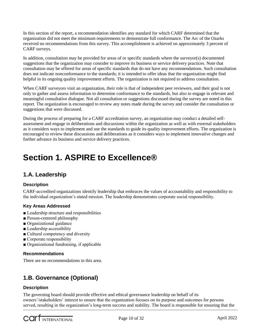In this section of the report, a recommendation identifies any standard for which CARF determined that the organization did not meet the minimum requirements to demonstrate full conformance. The Arc of the Ozarks received no recommendations from this survey. This accomplishment is achieved on approximately 3 percent of CARF surveys.

In addition, consultation may be provided for areas of or specific standards where the surveyor(s) documented suggestions that the organization may consider to improve its business or service delivery practices. Note that consultation may be offered for areas of specific standards that do not have any recommendations. Such consultation does not indicate nonconformance to the standards; it is intended to offer ideas that the organization might find helpful in its ongoing quality improvement efforts. The organization is not required to address consultation.

When CARF surveyors visit an organization, their role is that of independent peer reviewers, and their goal is not only to gather and assess information to determine conformance to the standards, but also to engage in relevant and meaningful consultative dialogue. Not all consultation or suggestions discussed during the survey are noted in this report. The organization is encouraged to review any notes made during the survey and consider the consultation or suggestions that were discussed.

During the process of preparing for a CARF accreditation survey, an organization may conduct a detailed selfassessment and engage in deliberations and discussions within the organization as well as with external stakeholders as it considers ways to implement and use the standards to guide its quality improvement efforts. The organization is encouraged to review these discussions and deliberations as it considers ways to implement innovative changes and further advance its business and service delivery practices.

## **Section 1. ASPIRE to Excellence®**

### **1.A. Leadership**

#### **Description**

CARF-accredited organizations identify leadership that embraces the values of accountability and responsibility to the individual organization's stated mission. The leadership demonstrates corporate social responsibility.

#### **Key Areas Addressed**

- Leadership structure and responsibilities
- Person-centered philosophy
- Organizational guidance
- Leadership accessibility
- Cultural competency and diversity
- Corporate responsibility
- Organizational fundraising, if applicable

#### **Recommendations**

There are no recommendations in this area.

### **1.B. Governance (Optional)**

#### **Description**

The governing board should provide effective and ethical governance leadership on behalf of its owners'/stakeholders' interest to ensure that the organization focuses on its purpose and outcomes for persons served, resulting in the organization's long-term success and stability. The board is responsible for ensuring that the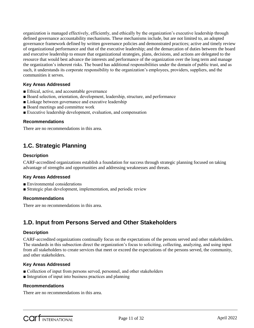organization is managed effectively, efficiently, and ethically by the organization's executive leadership through defined governance accountability mechanisms. These mechanisms include, but are not limited to, an adopted governance framework defined by written governance policies and demonstrated practices; active and timely review of organizational performance and that of the executive leadership; and the demarcation of duties between the board and executive leadership to ensure that organizational strategies, plans, decisions, and actions are delegated to the resource that would best advance the interests and performance of the organization over the long term and manage the organization's inherent risks. The board has additional responsibilities under the domain of public trust, and as such, it understands its corporate responsibility to the organization's employees, providers, suppliers, and the communities it serves.

#### **Key Areas Addressed**

- Ethical, active, and accountable governance
- Board selection, orientation, development, leadership, structure, and performance
- Linkage between governance and executive leadership
- Board meetings and committee work
- Executive leadership development, evaluation, and compensation

#### **Recommendations**

There are no recommendations in this area.

### **1.C. Strategic Planning**

#### **Description**

CARF-accredited organizations establish a foundation for success through strategic planning focused on taking advantage of strengths and opportunities and addressing weaknesses and threats.

#### **Key Areas Addressed**

- Environmental considerations
- Strategic plan development, implementation, and periodic review

#### **Recommendations**

There are no recommendations in this area.

### **1.D. Input from Persons Served and Other Stakeholders**

#### **Description**

CARF-accredited organizations continually focus on the expectations of the persons served and other stakeholders. The standards in this subsection direct the organization's focus to soliciting, collecting, analyzing, and using input from all stakeholders to create services that meet or exceed the expectations of the persons served, the community, and other stakeholders.

#### **Key Areas Addressed**

- Collection of input from persons served, personnel, and other stakeholders
- Integration of input into business practices and planning

#### **Recommendations**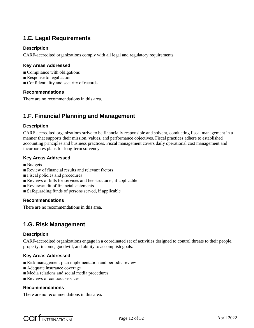### **1.E. Legal Requirements**

#### **Description**

CARF-accredited organizations comply with all legal and regulatory requirements.

#### **Key Areas Addressed**

- Compliance with obligations
- Response to legal action
- Confidentiality and security of records

#### **Recommendations**

There are no recommendations in this area.

### **1.F. Financial Planning and Management**

#### **Description**

CARF-accredited organizations strive to be financially responsible and solvent, conducting fiscal management in a manner that supports their mission, values, and performance objectives. Fiscal practices adhere to established accounting principles and business practices. Fiscal management covers daily operational cost management and incorporates plans for long-term solvency.

#### **Key Areas Addressed**

- Budgets
- Review of financial results and relevant factors
- Fiscal policies and procedures
- Reviews of bills for services and fee structures, if applicable
- Review/audit of financial statements
- Safeguarding funds of persons served, if applicable

#### **Recommendations**

There are no recommendations in this area.

### **1.G. Risk Management**

#### **Description**

CARF-accredited organizations engage in a coordinated set of activities designed to control threats to their people, property, income, goodwill, and ability to accomplish goals.

#### **Key Areas Addressed**

- Risk management plan implementation and periodic review
- Adequate insurance coverage
- Media relations and social media procedures
- Reviews of contract services

#### **Recommendations**

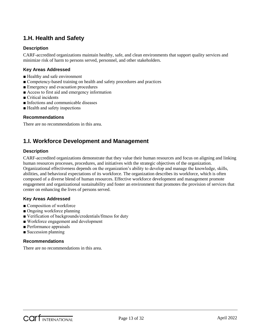### **1.H. Health and Safety**

#### **Description**

CARF-accredited organizations maintain healthy, safe, and clean environments that support quality services and minimize risk of harm to persons served, personnel, and other stakeholders.

#### **Key Areas Addressed**

- Healthy and safe environment
- Competency-based training on health and safety procedures and practices
- Emergency and evacuation procedures
- Access to first aid and emergency information
- Critical incidents
- Infections and communicable diseases
- Health and safety inspections

#### **Recommendations**

There are no recommendations in this area.

### **1.I. Workforce Development and Management**

#### **Description**

CARF-accredited organizations demonstrate that they value their human resources and focus on aligning and linking human resources processes, procedures, and initiatives with the strategic objectives of the organization. Organizational effectiveness depends on the organization's ability to develop and manage the knowledge, skills, abilities, and behavioral expectations of its workforce. The organization describes its workforce, which is often composed of a diverse blend of human resources. Effective workforce development and management promote engagement and organizational sustainability and foster an environment that promotes the provision of services that center on enhancing the lives of persons served.

#### **Key Areas Addressed**

- Composition of workforce
- Ongoing workforce planning
- Verification of backgrounds/credentials/fitness for duty
- Workforce engagement and development
- Performance appraisals
- Succession planning

#### **Recommendations**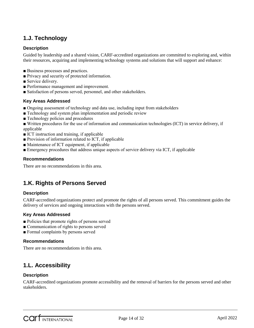### **1.J. Technology**

#### **Description**

Guided by leadership and a shared vision, CARF-accredited organizations are committed to exploring and, within their resources, acquiring and implementing technology systems and solutions that will support and enhance:

- Business processes and practices.
- Privacy and security of protected information.
- Service delivery.
- Performance management and improvement.
- Satisfaction of persons served, personnel, and other stakeholders.

#### **Key Areas Addressed**

- Ongoing assessment of technology and data use, including input from stakeholders
- Technology and system plan implementation and periodic review
- Technology policies and procedures
- Written procedures for the use of information and communication technologies (ICT) in service delivery, if applicable
- ICT instruction and training, if applicable
- Provision of information related to ICT, if applicable
- Maintenance of ICT equipment, if applicable
- Emergency procedures that address unique aspects of service delivery via ICT, if applicable

#### **Recommendations**

There are no recommendations in this area.

### **1.K. Rights of Persons Served**

#### **Description**

CARF-accredited organizations protect and promote the rights of all persons served. This commitment guides the delivery of services and ongoing interactions with the persons served.

#### **Key Areas Addressed**

- Policies that promote rights of persons served
- Communication of rights to persons served
- Formal complaints by persons served

#### **Recommendations**

There are no recommendations in this area.

### **1.L. Accessibility**

#### **Description**

CARF-accredited organizations promote accessibility and the removal of barriers for the persons served and other stakeholders.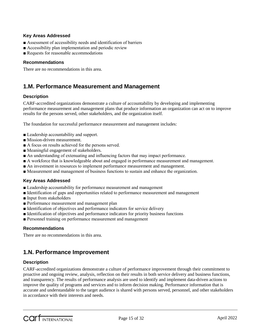#### **Key Areas Addressed**

- Assessment of accessibility needs and identification of barriers
- Accessibility plan implementation and periodic review
- Requests for reasonable accommodations

#### **Recommendations**

There are no recommendations in this area.

### **1.M. Performance Measurement and Management**

#### **Description**

CARF-accredited organizations demonstrate a culture of accountability by developing and implementing performance measurement and management plans that produce information an organization can act on to improve results for the persons served, other stakeholders, and the organization itself.

The foundation for successful performance measurement and management includes:

- Leadership accountability and support.
- Mission-driven measurement.
- A focus on results achieved for the persons served.
- Meaningful engagement of stakeholders.
- An understanding of extenuating and influencing factors that may impact performance.
- A workforce that is knowledgeable about and engaged in performance measurement and management.
- An investment in resources to implement performance measurement and management.
- Measurement and management of business functions to sustain and enhance the organization.

#### **Key Areas Addressed**

- Leadership accountability for performance measurement and management
- Identification of gaps and opportunities related to performance measurement and management
- Input from stakeholders
- Performance measurement and management plan
- Identification of objectives and performance indicators for service delivery
- Identification of objectives and performance indicators for priority business functions
- Personnel training on performance measurement and management

#### **Recommendations**

There are no recommendations in this area.

### **1.N. Performance Improvement**

#### **Description**

CARF-accredited organizations demonstrate a culture of performance improvement through their commitment to proactive and ongoing review, analysis, reflection on their results in both service delivery and business functions, and transparency. The results of performance analysis are used to identify and implement data-driven actions to improve the quality of programs and services and to inform decision making. Performance information that is accurate and understandable to the target audience is shared with persons served, personnel, and other stakeholders in accordance with their interests and needs.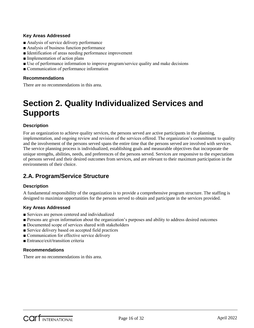#### **Key Areas Addressed**

- Analysis of service delivery performance
- Analysis of business function performance
- Identification of areas needing performance improvement
- Implementation of action plans
- Use of performance information to improve program/service quality and make decisions
- Communication of performance information

#### **Recommendations**

There are no recommendations in this area.

## **Section 2. Quality Individualized Services and Supports**

#### **Description**

For an organization to achieve quality services, the persons served are active participants in the planning, implementation, and ongoing review and revision of the services offered. The organization's commitment to quality and the involvement of the persons served spans the entire time that the persons served are involved with services. The service planning process is individualized, establishing goals and measurable objectives that incorporate the unique strengths, abilities, needs, and preferences of the persons served. Services are responsive to the expectations of persons served and their desired outcomes from services, and are relevant to their maximum participation in the environments of their choice.

### **2.A. Program/Service Structure**

#### **Description**

A fundamental responsibility of the organization is to provide a comprehensive program structure. The staffing is designed to maximize opportunities for the persons served to obtain and participate in the services provided.

#### **Key Areas Addressed**

- Services are person centered and individualized
- Persons are given information about the organization's purposes and ability to address desired outcomes
- Documented scope of services shared with stakeholders
- Service delivery based on accepted field practices
- Communication for effective service delivery
- Entrance/exit/transition criteria

#### **Recommendations**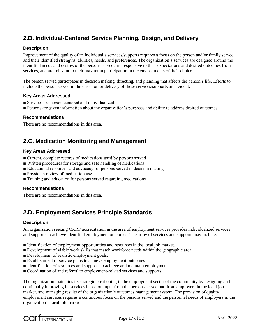### **2.B. Individual-Centered Service Planning, Design, and Delivery**

#### **Description**

Improvement of the quality of an individual's services/supports requires a focus on the person and/or family served and their identified strengths, abilities, needs, and preferences. The organization's services are designed around the identified needs and desires of the persons served, are responsive to their expectations and desired outcomes from services, and are relevant to their maximum participation in the environments of their choice.

The person served participates in decision making, directing, and planning that affects the person's life. Efforts to include the person served in the direction or delivery of those services/supports are evident.

#### **Key Areas Addressed**

- Services are person centered and individualized
- Persons are given information about the organization's purposes and ability to address desired outcomes

#### **Recommendations**

There are no recommendations in this area.

### **2.C. Medication Monitoring and Management**

#### **Key Areas Addressed**

- Current, complete records of medications used by persons served
- Written procedures for storage and safe handling of medications
- Educational resources and advocacy for persons served in decision making
- Physician review of medication use
- Training and education for persons served regarding medications

#### **Recommendations**

There are no recommendations in this area.

### **2.D. Employment Services Principle Standards**

#### **Description**

An organization seeking CARF accreditation in the area of employment services provides individualized services and supports to achieve identified employment outcomes. The array of services and supports may include:

- Identification of employment opportunities and resources in the local job market.
- Development of viable work skills that match workforce needs within the geographic area.
- Development of realistic employment goals.
- Establishment of service plans to achieve employment outcomes.
- Identification of resources and supports to achieve and maintain employment.
- Coordination of and referral to employment-related services and supports.

The organization maintains its strategic positioning in the employment sector of the community by designing and continually improving its services based on input from the persons served and from employers in the local job market, and managing results of the organization's outcomes management system. The provision of quality employment services requires a continuous focus on the persons served and the personnel needs of employers in the organization's local job market.

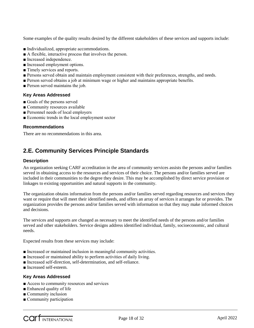Some examples of the quality results desired by the different stakeholders of these services and supports include:

- Individualized, appropriate accommodations.
- A flexible, interactive process that involves the person.
- Increased independence.
- Increased employment options.
- Timely services and reports.
- Persons served obtain and maintain employment consistent with their preferences, strengths, and needs.
- Person served obtains a job at minimum wage or higher and maintains appropriate benefits.
- Person served maintains the job.

#### **Key Areas Addressed**

- Goals of the persons served
- Community resources available
- Personnel needs of local employers
- Economic trends in the local employment sector

#### **Recommendations**

There are no recommendations in this area.

### **2.E. Community Services Principle Standards**

#### **Description**

An organization seeking CARF accreditation in the area of community services assists the persons and/or families served in obtaining access to the resources and services of their choice. The persons and/or families served are included in their communities to the degree they desire. This may be accomplished by direct service provision or linkages to existing opportunities and natural supports in the community.

The organization obtains information from the persons and/or families served regarding resources and services they want or require that will meet their identified needs, and offers an array of services it arranges for or provides. The organization provides the persons and/or families served with information so that they may make informed choices and decisions.

The services and supports are changed as necessary to meet the identified needs of the persons and/or families served and other stakeholders. Service designs address identified individual, family, socioeconomic, and cultural needs.

Expected results from these services may include:

- Increased or maintained inclusion in meaningful community activities.
- Increased or maintained ability to perform activities of daily living.
- Increased self-direction, self-determination, and self-reliance.
- Increased self-esteem.

#### **Key Areas Addressed**

- Access to community resources and services
- Enhanced quality of life
- Community inclusion
- Community participation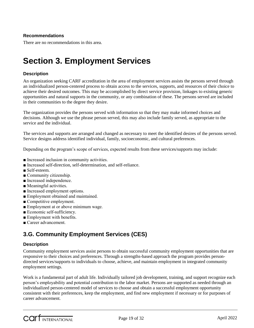#### **Recommendations**

There are no recommendations in this area.

## **Section 3. Employment Services**

#### **Description**

An organization seeking CARF accreditation in the area of employment services assists the persons served through an individualized person-centered process to obtain access to the services, supports, and resources of their choice to achieve their desired outcomes. This may be accomplished by direct service provision, linkages to existing generic opportunities and natural supports in the community, or any combination of these. The persons served are included in their communities to the degree they desire.

The organization provides the persons served with information so that they may make informed choices and decisions. Although we use the phrase person served, this may also include family served, as appropriate to the service and the individual.

The services and supports are arranged and changed as necessary to meet the identified desires of the persons served. Service designs address identified individual, family, socioeconomic, and cultural preferences.

Depending on the program's scope of services, expected results from these services/supports may include:

- Increased inclusion in community activities.
- Increased self-direction, self-determination, and self-reliance.
- Self-esteem.
- Community citizenship.
- Increased independence.
- Meaningful activities.
- Increased employment options.
- Employment obtained and maintained.
- Competitive employment.
- Employment at or above minimum wage.
- Economic self-sufficiency.
- Employment with benefits.
- Career advancement.

### **3.G. Community Employment Services (CES)**

#### **Description**

Community employment services assist persons to obtain successful community employment opportunities that are responsive to their choices and preferences. Through a strengths-based approach the program provides persondirected services/supports to individuals to choose, achieve, and maintain employment in integrated community employment settings.

Work is a fundamental part of adult life. Individually tailored job development, training, and support recognize each person's employability and potential contribution to the labor market. Persons are supported as needed through an individualized person-centered model of services to choose and obtain a successful employment opportunity consistent with their preferences, keep the employment, and find new employment if necessary or for purposes of career advancement.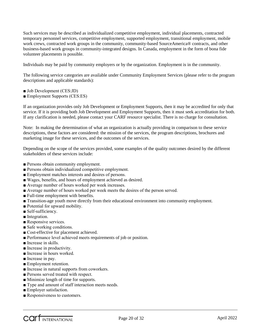Such services may be described as individualized competitive employment, individual placements, contracted temporary personnel services, competitive employment, supported employment, transitional employment, mobile work crews, contracted work groups in the community, community-based SourceAmerica® contracts, and other business-based work groups in community-integrated designs. In Canada, employment in the form of bona fide volunteer placements is possible.

Individuals may be paid by community employers or by the organization. Employment is in the community.

The following service categories are available under Community Employment Services (please refer to the program descriptions and applicable standards):

- Job Development (CES:JD)
- Employment Supports (CES:ES)

If an organization provides only Job Development or Employment Supports, then it may be accredited for only that service. If it is providing both Job Development and Employment Supports, then it must seek accreditation for both. If any clarification is needed, please contact your CARF resource specialist. There is no charge for consultation.

Note: In making the determination of what an organization is actually providing in comparison to these service descriptions, these factors are considered: the mission of the services, the program descriptions, brochures and marketing image for these services, and the outcomes of the services.

Depending on the scope of the services provided, some examples of the quality outcomes desired by the different stakeholders of these services include:

- Persons obtain community employment.
- Persons obtain individualized competitive employment.
- Employment matches interests and desires of persons.
- Wages, benefits, and hours of employment achieved as desired.
- Average number of hours worked per week increases.
- Average number of hours worked per week meets the desires of the person served.
- Full-time employment with benefits.
- Transition-age youth move directly from their educational environment into community employment.
- Potential for upward mobility.
- Self-sufficiency.
- Integration.
- Responsive services.
- Safe working conditions.
- Cost-effective for placement achieved.
- Performance level achieved meets requirements of job or position.
- Increase in skills.
- Increase in productivity.
- Increase in hours worked.
- Increase in pay.
- Employment retention.
- Increase in natural supports from coworkers.
- Persons served treated with respect.
- Minimize length of time for supports.
- Type and amount of staff interaction meets needs.
- Employer satisfaction.
- Responsiveness to customers.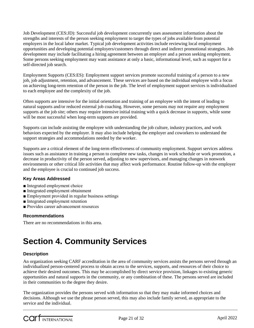Job Development (CES:JD): Successful job development concurrently uses assessment information about the strengths and interests of the person seeking employment to target the types of jobs available from potential employers in the local labor market. Typical job development activities include reviewing local employment opportunities and developing potential employers/customers through direct and indirect promotional strategies. Job development may include facilitating a hiring agreement between an employer and a person seeking employment. Some persons seeking employment may want assistance at only a basic, informational level, such as support for a self-directed job search.

Employment Supports (CES:ES): Employment support services promote successful training of a person to a new job, job adjustment, retention, and advancement. These services are based on the individual employee with a focus on achieving long-term retention of the person in the job. The level of employment support services is individualized to each employee and the complexity of the job.

Often supports are intensive for the initial orientation and training of an employee with the intent of leading to natural supports and/or reduced external job coaching. However, some persons may not require any employment supports at the job site; others may require intensive initial training with a quick decrease in supports, while some will be most successful when long-term supports are provided.

Supports can include assisting the employee with understanding the job culture, industry practices, and work behaviors expected by the employer. It may also include helping the employer and coworkers to understand the support strategies and accommodations needed by the worker.

Supports are a critical element of the long-term effectiveness of community employment. Support services address issues such as assistance in training a person to complete new tasks, changes in work schedule or work promotion, a decrease in productivity of the person served, adjusting to new supervisors, and managing changes in nonwork environments or other critical life activities that may affect work performance. Routine follow-up with the employer and the employee is crucial to continued job success.

#### **Key Areas Addressed**

- Integrated employment choice
- Integrated employment obtainment
- Employment provided in regular business settings
- Integrated employment retention
- Provides career advancement resources

#### **Recommendations**

There are no recommendations in this area.

## **Section 4. Community Services**

#### **Description**

An organization seeking CARF accreditation in the area of community services assists the persons served through an individualized person-centered process to obtain access to the services, supports, and resources of their choice to achieve their desired outcomes. This may be accomplished by direct service provision, linkages to existing generic opportunities and natural supports in the community, or any combination of these. The persons served are included in their communities to the degree they desire.

The organization provides the persons served with information so that they may make informed choices and decisions. Although we use the phrase person served, this may also include family served, as appropriate to the service and the individual.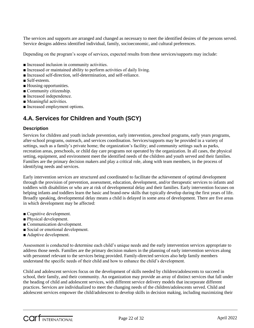The services and supports are arranged and changed as necessary to meet the identified desires of the persons served. Service designs address identified individual, family, socioeconomic, and cultural preferences.

Depending on the program's scope of services, expected results from these services/supports may include:

- Increased inclusion in community activities.
- Increased or maintained ability to perform activities of daily living.
- Increased self-direction, self-determination, and self-reliance.
- Self-esteem.
- Housing opportunities.
- Community citizenship.
- Increased independence.
- Meaningful activities.
- Increased employment options.

### **4.A. Services for Children and Youth (SCY)**

#### **Description**

Services for children and youth include prevention, early intervention, preschool programs, early years programs, after-school programs, outreach, and services coordination. Services/supports may be provided in a variety of settings, such as a family's private home; the organization's facility; and community settings such as parks, recreation areas, preschools, or child day care programs not operated by the organization. In all cases, the physical setting, equipment, and environment meet the identified needs of the children and youth served and their families. Families are the primary decision makers and play a critical role, along with team members, in the process of identifying needs and services.

Early intervention services are structured and coordinated to facilitate the achievement of optimal development through the provision of prevention, assessment, education, development, and/or therapeutic services to infants and toddlers with disabilities or who are at risk of developmental delay and their families. Early intervention focuses on helping infants and toddlers learn the basic and brand-new skills that typically develop during the first years of life. Broadly speaking, developmental delay means a child is delayed in some area of development. There are five areas in which development may be affected:

- Cognitive development.
- Physical development.
- Communication development.
- Social or emotional development.
- Adaptive development.

Assessment is conducted to determine each child's unique needs and the early intervention services appropriate to address those needs. Families are the primary decision makers in the planning of early intervention services along with personnel relevant to the services being provided. Family-directed services also help family members understand the specific needs of their child and how to enhance the child's development.

Child and adolescent services focus on the development of skills needed by children/adolescents to succeed in school, their family, and their community. An organization may provide an array of distinct services that fall under the heading of child and adolescent services, with different service delivery models that incorporate different practices. Services are individualized to meet the changing needs of the children/adolescents served. Child and adolescent services empower the child/adolescent to develop skills in decision making, including maximizing their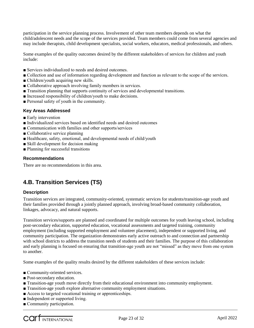participation in the service planning process. Involvement of other team members depends on what the child/adolescent needs and the scope of the services provided. Team members could come from several agencies and may include therapists, child development specialists, social workers, educators, medical professionals, and others.

Some examples of the quality outcomes desired by the different stakeholders of services for children and youth include:

- Services individualized to needs and desired outcomes.
- Collection and use of information regarding development and function as relevant to the scope of the services.
- Children/youth acquiring new skills.
- Collaborative approach involving family members in services.
- Transition planning that supports continuity of services and developmental transitions.
- Increased responsibility of children/youth to make decisions.
- Personal safety of youth in the community.

#### **Key Areas Addressed**

- Early intervention
- Individualized services based on identified needs and desired outcomes
- Communication with families and other supports/services
- Collaborative service planning
- Healthcare, safety, emotional, and developmental needs of child/youth
- Skill development for decision making
- Planning for successful transitions

#### **Recommendations**

There are no recommendations in this area.

### **4.B. Transition Services (TS)**

#### **Description**

Transition services are integrated, community-oriented, systematic services for students/transition-age youth and their families provided through a jointly planned approach, involving broad-based community collaboration, linkages, advocacy, and natural supports.

Transition services/supports are planned and coordinated for multiple outcomes for youth leaving school, including post-secondary education, supported education, vocational assessments and targeted training, community employment (including supported employment and volunteer placement), independent or supported living, and community participation. The organization demonstrates early active outreach to and connection and partnership with school districts to address the transition needs of students and their families. The purpose of this collaboration and early planning is focused on ensuring that transition-age youth are not "missed" as they move from one system to another.

Some examples of the quality results desired by the different stakeholders of these services include:

- Community-oriented services.
- Post-secondary education.
- Transition-age youth move directly from their educational environment into community employment.
- Transition-age youth explore alternative community employment situations.
- Access to targeted vocational training or apprenticeships.
- Independent or supported living.
- Community participation.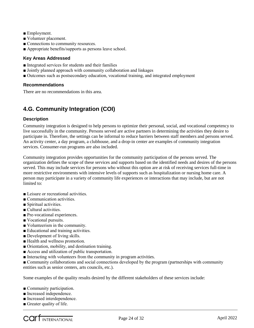- Employment.
- Volunteer placement.
- Connections to community resources.
- Appropriate benefits/supports as persons leave school.

#### **Key Areas Addressed**

- Integrated services for students and their families
- Jointly planned approach with community collaboration and linkages
- Outcomes such as postsecondary education, vocational training, and integrated employment

#### **Recommendations**

There are no recommendations in this area.

### **4.G. Community Integration (COI)**

#### **Description**

Community integration is designed to help persons to optimize their personal, social, and vocational competency to live successfully in the community. Persons served are active partners in determining the activities they desire to participate in. Therefore, the settings can be informal to reduce barriers between staff members and persons served. An activity center, a day program, a clubhouse, and a drop-in center are examples of community integration services. Consumer-run programs are also included.

Community integration provides opportunities for the community participation of the persons served. The organization defines the scope of these services and supports based on the identified needs and desires of the persons served. This may include services for persons who without this option are at risk of receiving services full-time in more restrictive environments with intensive levels of supports such as hospitalization or nursing home care. A person may participate in a variety of community life experiences or interactions that may include, but are not limited to:

- Leisure or recreational activities.
- Communication activities.
- Spiritual activities.
- Cultural activities.
- Pre-vocational experiences.
- Vocational pursuits.
- Volunteerism in the community.
- Educational and training activities.
- Development of living skills.
- Health and wellness promotion.
- Orientation, mobility, and destination training.
- Access and utilization of public transportation.
- Interacting with volunteers from the community in program activities.
- Community collaborations and social connections developed by the program (partnerships with community entities such as senior centers, arts councils, etc.).

Some examples of the quality results desired by the different stakeholders of these services include:

- Community participation.
- Increased independence.
- Increased interdependence.
- Greater quality of life.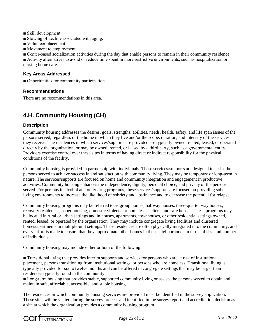- Skill development.
- Slowing of decline associated with aging.
- Volunteer placement.
- Movement to employment.

■ Center-based socialization activities during the day that enable persons to remain in their community residence.

■ Activity alternatives to avoid or reduce time spent in more restrictive environments, such as hospitalization or nursing home care.

#### **Key Areas Addressed**

■ Opportunities for community participation

#### **Recommendations**

There are no recommendations in this area.

### **4.H. Community Housing (CH)**

#### **Description**

Community housing addresses the desires, goals, strengths, abilities, needs, health, safety, and life span issues of the persons served, regardless of the home in which they live and/or the scope, duration, and intensity of the services they receive. The residences in which services/supports are provided are typically owned, rented, leased, or operated directly by the organization, or may be owned, rented, or leased by a third party, such as a governmental entity. Providers exercise control over these sites in terms of having direct or indirect responsibility for the physical conditions of the facility.

Community housing is provided in partnership with individuals. These services/supports are designed to assist the persons served to achieve success in and satisfaction with community living. They may be temporary or long-term in nature. The services/supports are focused on home and community integration and engagement in productive activities. Community housing enhances the independence, dignity, personal choice, and privacy of the persons served. For persons in alcohol and other drug programs, these services/supports are focused on providing sober living environments to increase the likelihood of sobriety and abstinence and to decrease the potential for relapse.

Community housing programs may be referred to as group homes, halfway houses, three-quarter way houses, recovery residences, sober housing, domestic violence or homeless shelters, and safe houses. These programs may be located in rural or urban settings and in houses, apartments, townhouses, or other residential settings owned, rented, leased, or operated by the organization. They may include congregate living facilities and clustered homes/apartments in multiple-unit settings. These residences are often physically integrated into the community, and every effort is made to ensure that they approximate other homes in their neighborhoods in terms of size and number of individuals.

Community housing may include either or both of the following:

■ Transitional living that provides interim supports and services for persons who are at risk of institutional placement, persons transitioning from institutional settings, or persons who are homeless. Transitional living is typically provided for six to twelve months and can be offered in congregate settings that may be larger than residences typically found in the community.

■ Long-term housing that provides stable, supported community living or assists the persons served to obtain and maintain safe, affordable, accessible, and stable housing.

The residences in which community housing services are provided must be identified in the survey application. These sites will be visited during the survey process and identified in the survey report and accreditation decision as a site at which the organization provides a community housing program.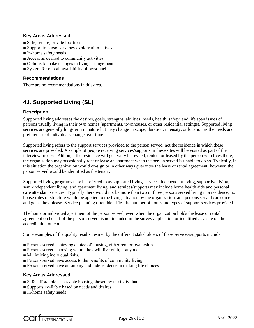#### **Key Areas Addressed**

- Safe, secure, private location
- Support to persons as they explore alternatives
- In-home safety needs
- Access as desired to community activities
- Options to make changes in living arrangements
- System for on-call availability of personnel

#### **Recommendations**

There are no recommendations in this area.

### **4.I. Supported Living (SL)**

#### **Description**

Supported living addresses the desires, goals, strengths, abilities, needs, health, safety, and life span issues of persons usually living in their own homes (apartments, townhouses, or other residential settings). Supported living services are generally long-term in nature but may change in scope, duration, intensity, or location as the needs and preferences of individuals change over time.

Supported living refers to the support services provided to the person served, not the residence in which these services are provided. A sample of people receiving services/supports in these sites will be visited as part of the interview process. Although the residence will generally be owned, rented, or leased by the person who lives there, the organization may occasionally rent or lease an apartment when the person served is unable to do so. Typically, in this situation the organization would co-sign or in other ways guarantee the lease or rental agreement; however, the person served would be identified as the tenant.

Supported living programs may be referred to as supported living services, independent living, supportive living, semi-independent living, and apartment living; and services/supports may include home health aide and personal care attendant services. Typically there would not be more than two or three persons served living in a residence, no house rules or structure would be applied to the living situation by the organization, and persons served can come and go as they please. Service planning often identifies the number of hours and types of support services provided.

The home or individual apartment of the person served, even when the organization holds the lease or rental agreement on behalf of the person served, is not included in the survey application or identified as a site on the accreditation outcome.

Some examples of the quality results desired by the different stakeholders of these services/supports include:

- Persons served achieving choice of housing, either rent or ownership.
- Persons served choosing whom they will live with, if anyone.
- Minimizing individual risks.
- Persons served have access to the benefits of community living.
- Persons served have autonomy and independence in making life choices.

#### **Key Areas Addressed**

- Safe, affordable, accessible housing chosen by the individual
- Supports available based on needs and desires
- In-home safety needs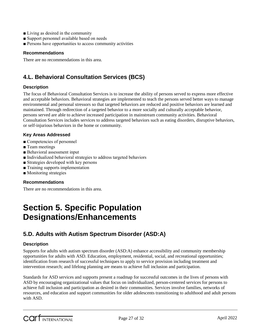- Living as desired in the community
- Support personnel available based on needs
- Persons have opportunities to access community activities

#### **Recommendations**

There are no recommendations in this area.

### **4.L. Behavioral Consultation Services (BCS)**

#### **Description**

The focus of Behavioral Consultation Services is to increase the ability of persons served to express more effective and acceptable behaviors. Behavioral strategies are implemented to teach the persons served better ways to manage environmental and personal stressors so that targeted behaviors are reduced and positive behaviors are learned and maintained. Through redirection of a targeted behavior to a more socially and culturally acceptable behavior, persons served are able to achieve increased participation in mainstream community activities. Behavioral Consultation Services includes services to address targeted behaviors such as eating disorders, disruptive behaviors, or self-injurious behaviors in the home or community.

#### **Key Areas Addressed**

- Competencies of personnel
- Team meetings
- Behavioral assessment input
- Individualized behavioral strategies to address targeted behaviors
- Strategies developed with key persons
- Training supports implementation
- Monitoring strategies

#### **Recommendations**

There are no recommendations in this area.

## **Section 5. Specific Population Designations/Enhancements**

### **5.D. Adults with Autism Spectrum Disorder (ASD:A)**

#### **Description**

Supports for adults with autism spectrum disorder (ASD:A) enhance accessibility and community membership opportunities for adults with ASD. Education, employment, residential, social, and recreational opportunities; identification from research of successful techniques to apply to service provision including treatment and intervention research; and lifelong planning are means to achieve full inclusion and participation.

Standards for ASD services and supports present a roadmap for successful outcomes in the lives of persons with ASD by encouraging organizational values that focus on individualized, person-centered services for persons to achieve full inclusion and participation as desired in their communities. Services involve families, networks of resources, and education and support communities for older adolescents transitioning to adulthood and adult persons with ASD.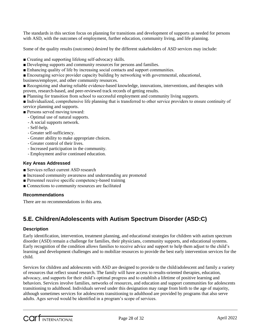The standards in this section focus on planning for transitions and development of supports as needed for persons with ASD, with the outcomes of employment, further education, community living, and life planning.

Some of the quality results (outcomes) desired by the different stakeholders of ASD services may include:

- Creating and supporting lifelong self-advocacy skills.
- Developing supports and community resources for persons and families.
- Enhancing quality of life by increasing social contacts and support communities.
- Encouraging service provider capacity building by networking with governmental, educational,
- business/employer, and other community resources.

■ Recognizing and sharing reliable evidence-based knowledge, innovations, interventions, and therapies with proven, research-based, and peer-reviewed track records of getting results.

■ Planning for transition from school to successful employment and community living supports.

■ Individualized, comprehensive life planning that is transferred to other service providers to ensure continuity of service planning and supports.

- Persons served moving toward:
	- Optimal use of natural supports.
	- A social supports network.
	- Self-help.
	- Greater self-sufficiency.
	- Greater ability to make appropriate choices.
	- Greater control of their lives.
	- Increased participation in the community.
	- Employment and/or continued education.

#### **Key Areas Addressed**

- Services reflect current ASD research
- Increased community awareness and understanding are promoted
- Personnel receive specific competency-based training
- Connections to community resources are facilitated

#### **Recommendations**

There are no recommendations in this area.

### **5.E. Children/Adolescents with Autism Spectrum Disorder (ASD:C)**

#### **Description**

Early identification, intervention, treatment planning, and educational strategies for children with autism spectrum disorder (ASD) remain a challenge for families, their physicians, community supports, and educational systems. Early recognition of the condition allows families to receive advice and support to help them adjust to the child's learning and development challenges and to mobilize resources to provide the best early intervention services for the child.

Services for children and adolescents with ASD are designed to provide to the child/adolescent and family a variety of resources that reflect sound research. The family will have access to results-oriented therapies, education, advocacy, and supports for their child's optimal progress and to establish a lifetime of positive learning and behaviors. Services involve families, networks of resources, and education and support communities for adolescents transitioning to adulthood. Individuals served under this designation may range from birth to the age of majority, although sometimes services for adolescents transitioning to adulthood are provided by programs that also serve adults. Ages served would be identified in a program's scope of services.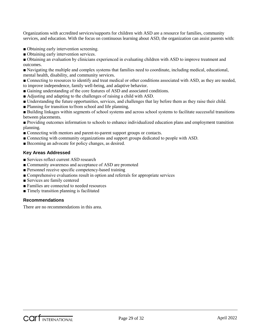Organizations with accredited services/supports for children with ASD are a resource for families, community services, and education. With the focus on continuous learning about ASD, the organization can assist parents with:

- Obtaining early intervention screening.
- Obtaining early intervention services.

■ Obtaining an evaluation by clinicians experienced in evaluating children with ASD to improve treatment and outcomes.

■ Navigating the multiple and complex systems that families need to coordinate, including medical, educational, mental health, disability, and community services.

■ Connecting to resources to identify and treat medical or other conditions associated with ASD, as they are needed, to improve independence, family well-being, and adaptive behavior.

- Gaining understanding of the core features of ASD and associated conditions.
- Adjusting and adapting to the challenges of raising a child with ASD.
- Understanding the future opportunities, services, and challenges that lay before them as they raise their child.
- Planning for transition to/from school and life planning.

■ Building linkages within segments of school systems and across school systems to facilitate successful transitions between placements.

■ Providing outcomes information to schools to enhance individualized education plans and employment transition planning.

- Connecting with mentors and parent-to-parent support groups or contacts.
- Connecting with community organizations and support groups dedicated to people with ASD.
- Becoming an advocate for policy changes, as desired.

#### **Key Areas Addressed**

- Services reflect current ASD research
- Community awareness and acceptance of ASD are promoted
- Personnel receive specific competency-based training
- Comprehensive evaluations result in option and referrals for appropriate services
- Services are family centered
- Families are connected to needed resources
- Timely transition planning is facilitated

#### **Recommendations**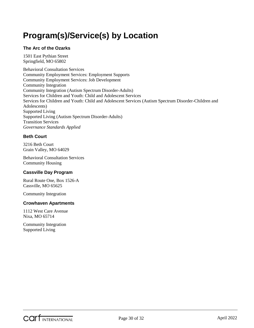## <span id="page-29-0"></span>**Program(s)/Service(s) by Location**

#### **The Arc of the Ozarks**

1501 East Pythian Street Springfield, MO 65802

Behavioral Consultation Services Community Employment Services: Employment Supports Community Employment Services: Job Development Community Integration Community Integration (Autism Spectrum Disorder-Adults) Services for Children and Youth: Child and Adolescent Services Services for Children and Youth: Child and Adolescent Services (Autism Spectrum Disorder-Children and Adolescents) Supported Living Supported Living (Autism Spectrum Disorder-Adults) Transition Services *Governance Standards Applied*

#### **Beth Court**

3216 Beth Court Grain Valley, MO 64029

Behavioral Consultation Services Community Housing

#### **Cassville Day Program**

Rural Route One, Box 1526-A Cassville, MO 65625

Community Integration

#### **Crowhaven Apartments**

1112 West Care Avenue Nixa, MO 65714

Community Integration Supported Living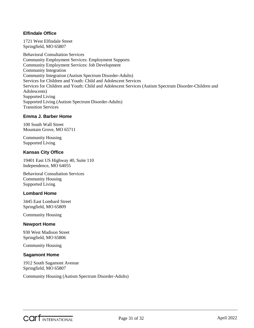#### **Elfindale Office**

1721 West Elfindale Street Springfield, MO 65807

Behavioral Consultation Services Community Employment Services: Employment Supports Community Employment Services: Job Development Community Integration Community Integration (Autism Spectrum Disorder-Adults) Services for Children and Youth: Child and Adolescent Services Services for Children and Youth: Child and Adolescent Services (Autism Spectrum Disorder-Children and Adolescents) Supported Living Supported Living (Autism Spectrum Disorder-Adults) Transition Services

#### **Emma J. Barber Home**

100 South Wall Street Mountain Grove, MO 65711

Community Housing Supported Living

#### **Kansas City Office**

19401 East US Highway 40, Suite 110 Independence, MO 64055

Behavioral Consultation Services Community Housing Supported Living

#### **Lombard Home**

3445 East Lombard Street Springfield, MO 65809

Community Housing

#### **Newport Home**

930 West Madison Street Springfield, MO 65806

Community Housing

#### **Sagamont Home**

1912 South Sagamont Avenue Springfield, MO 65807

Community Housing (Autism Spectrum Disorder-Adults)